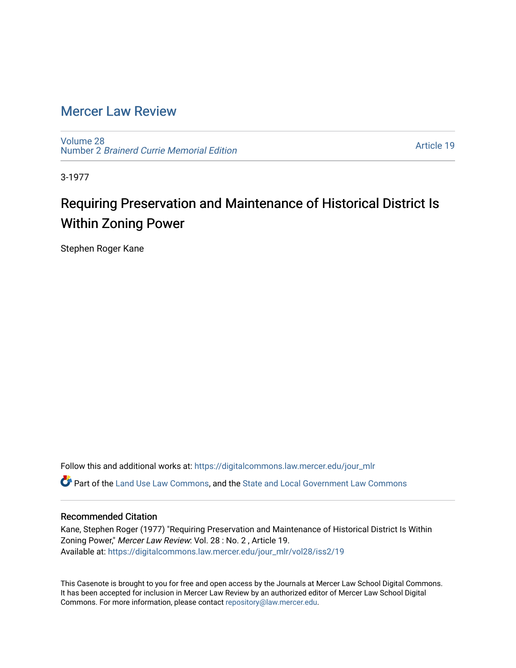## [Mercer Law Review](https://digitalcommons.law.mercer.edu/jour_mlr)

[Volume 28](https://digitalcommons.law.mercer.edu/jour_mlr/vol28) Number 2 [Brainerd Currie Memorial Edition](https://digitalcommons.law.mercer.edu/jour_mlr/vol28/iss2) 

[Article 19](https://digitalcommons.law.mercer.edu/jour_mlr/vol28/iss2/19) 

3-1977

## Requiring Preservation and Maintenance of Historical District Is Within Zoning Power

Stephen Roger Kane

Follow this and additional works at: [https://digitalcommons.law.mercer.edu/jour\\_mlr](https://digitalcommons.law.mercer.edu/jour_mlr?utm_source=digitalcommons.law.mercer.edu%2Fjour_mlr%2Fvol28%2Fiss2%2F19&utm_medium=PDF&utm_campaign=PDFCoverPages)

Part of the [Land Use Law Commons](http://network.bepress.com/hgg/discipline/852?utm_source=digitalcommons.law.mercer.edu%2Fjour_mlr%2Fvol28%2Fiss2%2F19&utm_medium=PDF&utm_campaign=PDFCoverPages), and the [State and Local Government Law Commons](http://network.bepress.com/hgg/discipline/879?utm_source=digitalcommons.law.mercer.edu%2Fjour_mlr%2Fvol28%2Fiss2%2F19&utm_medium=PDF&utm_campaign=PDFCoverPages)

## Recommended Citation

Kane, Stephen Roger (1977) "Requiring Preservation and Maintenance of Historical District Is Within Zoning Power," Mercer Law Review: Vol. 28 : No. 2 , Article 19. Available at: [https://digitalcommons.law.mercer.edu/jour\\_mlr/vol28/iss2/19](https://digitalcommons.law.mercer.edu/jour_mlr/vol28/iss2/19?utm_source=digitalcommons.law.mercer.edu%2Fjour_mlr%2Fvol28%2Fiss2%2F19&utm_medium=PDF&utm_campaign=PDFCoverPages) 

This Casenote is brought to you for free and open access by the Journals at Mercer Law School Digital Commons. It has been accepted for inclusion in Mercer Law Review by an authorized editor of Mercer Law School Digital Commons. For more information, please contact [repository@law.mercer.edu.](mailto:repository@law.mercer.edu)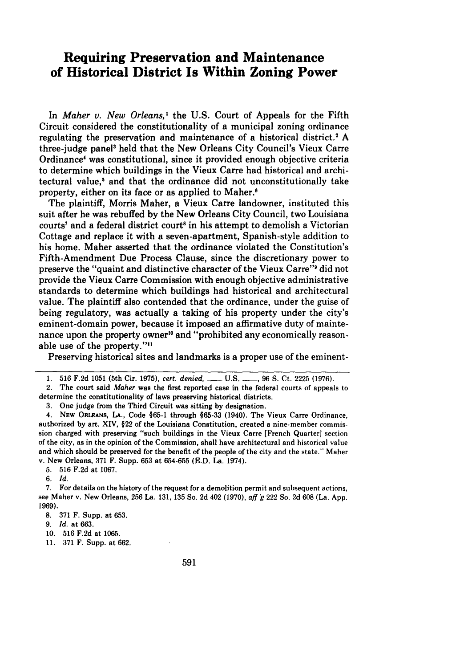## **Requiring Preservation and Maintenance of Historical District Is Within Zoning Power**

In *Maher v. New Orleans, I* the **U.S.** Court of Appeals for the Fifth Circuit considered the constitutionality of a municipal zoning ordinance regulating the preservation and maintenance of a historical district.<sup>2</sup> A three-judge panel' held that the New Orleans City Council's Vieux Carre Ordinance' was constitutional, since it provided enough objective criteria to determine which buildings in the Vieux Carre had historical and architectural value,<sup>5</sup> and that the ordinance did not unconstitutionally take property, either on its face or as applied to Maher.<sup>6</sup>

The plaintiff, Morris Maher, a Vieux Carre landowner, instituted this suit after he was rebuffed **by** the New Orleans City Council, two Louisiana courts' and a federal district court<sup>s</sup> in his attempt to demolish a Victorian Cottage and replace it with a seven-apartment, Spanish-style addition to his home. Maher asserted that the ordinance violated the Constitution's Fifth-Amendment Due Process Clause, since the discretionary power to preserve the "quaint and distinctive character of the Vieux Carre"9 did not provide the Vieux Carre Commission with enough objective administrative standards to determine which buildings had historical and architectural value. The plaintiff also contended that the ordinance, under the guise of being regulatory, was actually a taking of his property under the city's eminent-domain power, because it imposed an affirmative duty of maintenance upon the property owner<sup>10</sup> and "prohibited any economically reasonable use of the property."<sup>11</sup>

Preserving historical sites and landmarks is a proper use of the eminent-

**3.** One judge from the Third Circuit was sitting **by** designation.

4. **NEW** ORLEANs, **LA.,** Code **§65-1** through **§65-33** (1940). The Vieux Carre Ordinance, authorized **by** art. XIV, §22 of the Louisiana Constitution, created a nine-member commission charged with preserving "such buildings in the Vieux Carre [French Quarter] section of the city, as in the opinion of the Commission, shall have architectural and historical value and which should be preserved for the benefit of the people of the city and the state." Maher v. New Orleans, **371** F. Supp. **653** at **654-655 (E.D.** La. 1974).

**5. 516 F.2d** at **1067.**

6. *Id.*

**7.** For details on the history of the request for a demolition permit and subsequent actions, see Maher v. New Orleans, **256** La. **131, 135** So. **2d** 402 **(1970),** *aff 'g* 222 So. **2d 608** (La. **App. 1969).**

**8. 371** F. Supp. at 653.

9. *Id.* at 663.

10. 516 F.2d at 1065.

11. 371 F. Supp. at 662.

**<sup>1. 516</sup> F.2d 1051** (5th Cir. **1975),** cert. denied, *-* **U.S. - , 96 S.** Ct. **2225 (1976).**

<sup>2.</sup> The court said Maher was the first reported case in the federal courts **of** appeals to determine the constitutionality of laws preserving historical districts.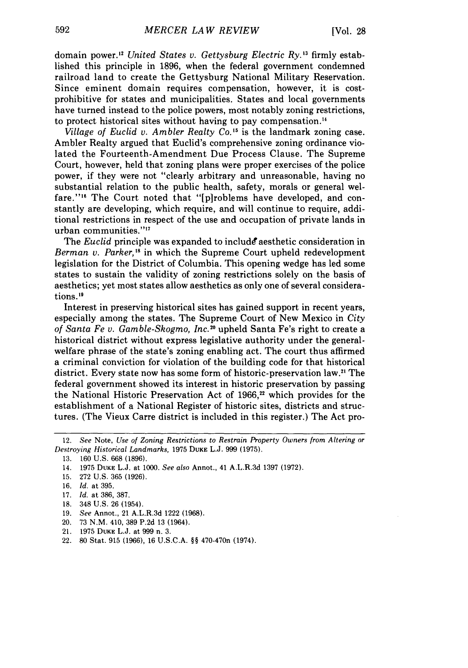domain power."2 *United States v. Gettysburg Electric Ry. <sup>13</sup>*firmly established this principle in 1896, when the federal government condemned railroad land to create the Gettysburg National Military Reservation. Since eminent domain requires compensation, however, it is costprohibitive for states and municipalities. States and local governments have turned instead to the police powers, most notably zoning restrictions, to protect historical sites without having to pay compensation."

*Village of Euclid v. Ambler Realty Co. <sup>5</sup>*is the landmark zoning case. Ambler Realty argued that Euclid's comprehensive zoning ordinance violated the Fourteenth-Amendment Due Process Clause. The Supreme Court, however, held that zoning plans were proper exercises of the police power, if they were not "clearly arbitrary and unreasonable, having no substantial relation to the public health, safety, morals or general welfare."<sup>16</sup> The Court noted that "[plroblems have developed, and constantly are developing, which require, and will continue to require, additional restrictions in respect of the use and occupation of private lands in urban communities."<sup>17</sup>

The *Euclid* principle was expanded to include aesthetic consideration in *Berman v. Parker,"* in which the Supreme Court upheld redevelopment legislation for the District of Columbia. This opening wedge has led some states to sustain the validity of zoning restrictions solely on the basis of aesthetics; yet most states allow aesthetics as only one of several considerations."

Interest in preserving historical sites has gained support in recent years, especially among the states. The Supreme Court of New Mexico in *City of Santa Fe v. Gamble-Skogmo, Inc.20* upheld Santa Fe's right to create a historical district without express legislative authority under the generalwelfare phrase of the state's zoning enabling act. The court thus affirmed a criminal conviction for violation of the building code for that historical district. Every state now has some form of historic-preservation law.<sup>21</sup> The federal government showed its interest in historic preservation by passing the National Historic Preservation Act of 1966,<sup>22</sup> which provides for the establishment of a National Register of historic sites, districts and structures. (The Vieux Carre district is included in this register.) The Act pro-

- 18. 348 U.S. 26 (1954).
- 19. *See* Annot., 21 A.L.R.3d 1222 (1968).
- 20. 73 N.M. 410, 389 P.2d 13 (1964).
- 21. 1975 **DUKE** L.J. at 999 n. 3.
- 22. 80 Stat. 915 (1966), 16 U.S.C.A. §§ 470-470n (1974).

<sup>12.</sup> *See* Note, *Use of Zoning Restrictions to Restrain Property Owners from Altering or Destroying Historical Landmarks,* 1975 **DUKE** L.J. 999 (1975).

**<sup>13.</sup>** 160 U.S. 668 (1896).

<sup>14. 1975</sup> **DUKE** L.J. at 1000. See also Annot., 41 A.L.R.3d 1397 (1972).

<sup>15. 272</sup> U.S. 365 (1926).

<sup>16.</sup> *Id.* at 395.

<sup>17.</sup> *Id.* at 386, 387.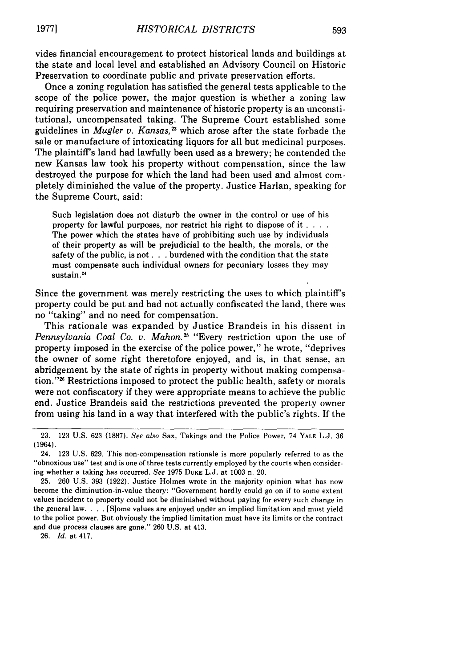vides financial encouragement to protect historical lands and buildings at the state and local level and established an Advisory Council on Historic Preservation to coordinate public and private preservation efforts.

Once a zoning regulation has satisfied the general tests applicable to the scope of the police power, the major question is whether a zoning law requiring preservation and maintenance of historic property is an unconstitutional, uncompensated taking. The Supreme Court established some guidelines in *Mugler v. Kansas*,<sup>23</sup> which arose after the state forbade the sale or manufacture of intoxicating liquors for all but medicinal purposes. The plaintiff's land had lawfully been used as a brewery; he contended the new Kansas law took his property without compensation, since the law destroyed the purpose for which the land had been used and almost completely diminished the value of the property. Justice Harlan, speaking for the Supreme Court, said:

Such legislation does not disturb the owner in the control or use of his property for lawful purposes, nor restrict his right to dispose of it **....** The power which the states have of prohibiting such use by individuals of their property as will be prejudicial to the health, the morals, or the safety of the public, is not. **. .** burdened with the condition that the state must compensate such individual owners for pecuniary losses they may sustain.<sup>24</sup>

Since the government was merely restricting the uses to which plaintiffs property could be put and had not actually confiscated the land, there was no "taking" and no need for compensation.

This rationale was expanded by Justice Brandeis in his dissent in *Pennsylvania Coal Co. v. Mahon.25* "Every restriction upon the use of property imposed in the exercise of the police power," he wrote, "deprives the owner of some right theretofore enjoyed, and is, in that sense, an abridgement by the state of rights in property without making compensation."<sup>26</sup> Restrictions imposed to protect the public health, safety or morals were not confiscatory if they were appropriate means to achieve the public end. Justice Brandeis said the restrictions prevented the property owner from using his land in a way that interfered with the public's rights. If the

26. *Id.* at 417.

<sup>23. 123</sup> U.S. 623 (1887). See also Sax, Takings and the Police Power, 74 YALE L.J. 36 (1964).

<sup>24. 123</sup> U.S. 629. This non-compensation rationale is more popularly referred to as the "obnoxious use" test and is one of three tests currently employed by the courts when considering whether a taking has occurred. *See* 1975 **DUKE** L.J. at 1003 n. 20.

<sup>25. 260</sup> U.S. 393 (1922). Justice Holmes wrote in the majority opinion what has now become the diminution-in-value theory: "Government hardly could go on if to some extent values incident to property could not be diminished without paying for every such change in the general law **....** [S]ome values are enjoyed under an implied limitation and must yield to the police power. But obviously the implied limitation must have its limits or the contract and due process clauses are gone." 260 U.S. at 413.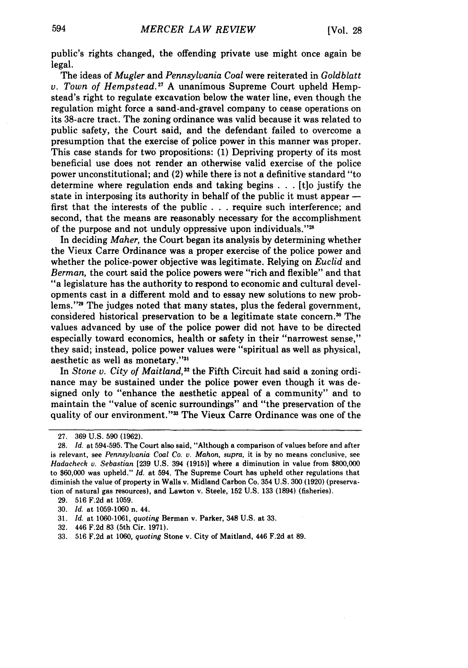public's rights changed, the offending private use might once again be legal.

The ideas of *Mugler* and *Pennsylvania Coal* were reiterated in *Goldblatt v. Town of Hempstead.*<sup>27</sup> A unanimous Supreme Court upheld Hempstead's right to regulate excavation below the water line, even though the regulation might force a sand-and-gravel company to cease operations on its 38-acre tract. The zoning ordinance was valid because it was related to public safety, the Court said, and the defendant failed to overcome a presumption that the exercise of police power in this manner was proper. This case stands for two propositions: (1) Depriving property of its most beneficial use does not render an otherwise valid exercise of the police power unconstitutional; and (2) while there is not a definitive standard "to determine where regulation ends and taking begins . . **.** [tlo justify the state in interposing its authority in behalf of the public it must appear  first that the interests of the public . . . require such interference; and second, that the means are reasonably necessary for the accomplishment of the purpose and not unduly oppressive upon individuals."<sup>2</sup>

In deciding *Maher,* the Court began its analysis by determining whether the Vieux Carre Ordinance was a proper exercise of the police power and whether the police-power objective was legitimate. Relying on *Euclid* and *Berman,* the court said the police powers were "rich and flexible" and that "a legislature has the authority to respond to economic and cultural developments cast in a different mold and to essay new solutions to new problems."<sup>29</sup> The judges noted that many states, plus the federal government, considered historical preservation to be a legitimate state concern.<sup>30</sup> The values advanced by use of the police power did not have to be directed especially toward economics, health or safety in their "narrowest sense," they said; instead, police power values were "spiritual as well as physical, aesthetic as well as monetary."<sup>31</sup>

In *Stone v. City of Maitland*,<sup>32</sup> the Fifth Circuit had said a zoning ordinance may be sustained under the police power even though it was designed only to "enhance the aesthetic appeal of a community" and to maintain the "value of scenic surroundings" and "the preservation of the quality of our environment."3 The Vieux Carre Ordinance was one of the

29. 516 F.2d at 1059.

- 31. *Id.* at 1060-1061, *quoting* Berman v. Parker, 348 U.S. at 33.
- 32. 446 F.2d 83 (5th Cir. 1971).
- 33. 516 F.2d at 1060, *quoting* Stone v. City of Maitland, 446 F.2d at 89.

<sup>27. 369</sup> U.S. 590 (1962).

<sup>28.</sup> *Id.* at 594-595. The Court also said, "Although a comparison of values before and after is relevant, see *Pennsylvania Coal Co. v. Mahon, supra,* it is by no means conclusive, see *Hadacheck v. Sebastian* [239 U.S. 394 (1915)] where a diminution in value from \$800,000 to \$60,000 was upheld." *Id.* at 594. The Supreme Court has upheld other regulations that diminish the value of property in Walls v. Midland Carbon Co. 354 U.S. 300 (1920) (preservation of natural gas resources), and Lawton v. Steele, 152 U.S. 133 (1894) (fisheries).

<sup>30.</sup> *Id.* at 1059-1060 n. 44.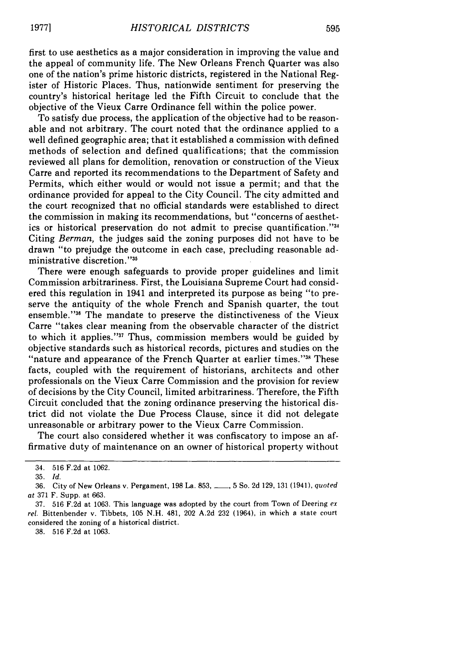first to use aesthetics as a major consideration in improving the value and the appeal of community life. The New Orleans French Quarter was also one of the nation's prime historic districts, registered in the National Register of Historic Places. Thus, nationwide sentiment for preserving the country's historical heritage led the Fifth Circuit to conclude that the objective of the Vieux Carre Ordinance fell within the police power.

To satisfy due process, the application of the objective had to be reasonable and not arbitrary. The court noted that the ordinance applied to a well defined geographic area; that it established a commission with defined methods of selection and defined qualifications; that the commission reviewed all plans for demolition, renovation or construction of the Vieux Carre and reported its recommendations to the Department of Safety and Permits, which either would or would not issue a permit; and that the ordinance provided for appeal to the City Council. The city admitted and the court recognized that no official standards were established to direct the commission in making its recommendations, but "concerns of aesthetics or historical preservation do not admit to precise quantification."34 Citing *Berman,* the judges said the zoning purposes did not have to be drawn "to prejudge the outcome in each case, precluding reasonable administrative discretion."35

There were enough safeguards to provide proper guidelines and limit Commission arbitrariness. First, the Louisiana Supreme Court had considered this regulation in 1941 and interpreted its purpose as being "to preserve the antiquity of the whole French and Spanish quarter, the tout ensemble."<sup>36</sup> The mandate to preserve the distinctiveness of the Vieux Carre "takes clear meaning from the observable character of the district to which it applies."37 Thus, commission members would be guided by objective standards such as historical records, pictures and studies on the "nature and appearance of the French Quarter at earlier times."<sup>38</sup> These facts, coupled with the requirement of historians, architects and other professionals on the Vieux Carre Commission and the provision for review of decisions by the City Council, limited arbitrariness. Therefore, the Fifth Circuit concluded that the zoning ordinance preserving the historical district did not violate the Due Process Clause, since it did not delegate unreasonable or arbitrary power to the Vieux Carre Commission.

The court also considered whether it was confiscatory to impose an affirmative duty of maintenance on an owner of historical property without

38. 516 F.2d at 1063.

<sup>34. 516</sup> F.2d at 1062.

<sup>35.</sup> *Id.*

<sup>36.</sup> City of New Orleans v. Pergament, 198 La. 853, ..., 5 So. 2d 129, 131 (1941), quoted at 371 F. Supp. at 663.

<sup>37. 516</sup> **F.2d** at 1063. This language was adopted by the court from Town of Deering ex rel. Bittenbender v. Tibbets, 105 N.H. 481, 202 A.2d 232 (1964), in which a state court considered the zoning of a historical district.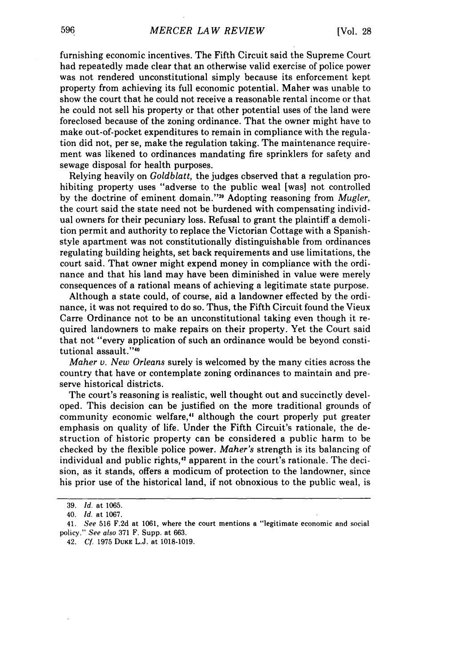furnishing economic incentives. The Fifth Circuit said the Supreme Court had repeatedly made clear that an otherwise valid exercise of police power was not rendered unconstitutional simply because its enforcement kept property from achieving its full economic potential. Maher was unable to show the court that he could not receive a reasonable rental income or that he could not sell his property or that other potential uses of the land were foreclosed because of the zoning ordinance. That the owner might have to make out-of-pocket expenditures to remain in compliance with the regulation did not, per se, make the regulation taking. The maintenance requirement was likened to ordinances mandating fire sprinklers for safety and sewage disposal for health purposes.

Relying heavily on *Goldblatt,* the judges observed that a regulation prohibiting property uses "adverse to the public weal [was] not controlled by the doctrine of eminent domain."39 Adopting reasoning from *Mugler,* the court said the state need not be burdened with compensating individual owners for their pecuniary loss. Refusal to grant the plaintiff a demolition permit and authority to replace the Victorian Cottage with a Spanishstyle apartment was not constitutionally distinguishable from ordinances regulating building heights, set back requirements and use limitations, the court said. That owner might expend money in compliance with the ordinance and that his land may have been diminished in value were merely consequences of a rational means of achieving a legitimate state purpose.

Although a state could, of course, aid a landowner effected by the ordinance, it was not required to do so. Thus, the Fifth Circuit found the Vieux Carre Ordinance not to be an unconstitutional taking even though it required landowners to make repairs on their property. Yet the Court said that not "every application of such an ordinance would be beyond constitutional assault."<sup>40</sup>

*Maher v. New Orleans* surely is welcomed by the many cities across the country that have or contemplate zoning ordinances to maintain and preserve historical districts.

The court's reasoning is realistic, well thought out and succinctly developed. This decision can be justified on the more traditional grounds of community economic welfare,<sup>41</sup> although the court properly put greater emphasis on quality of life. Under the Fifth Circuit's rationale, the destruction of historic property can be considered a public harm to be checked by the flexible police power. *Maher's* strength is its balancing of individual and public rights,<sup>42</sup> apparent in the court's rationale. The decision, as it stands, offers a modicum of protection to the landowner, since his prior use of the historical land, if not obnoxious to the public weal, is

<sup>39.</sup> *Id.* at 1065.

<sup>40.</sup> *Id.* at 1067.

<sup>41.</sup> *See* 516 F.2d at 1061, where the court mentions a "legitimate economic and social policy." *See* also 371 F. Supp. at 663.

<sup>42.</sup> *Cf.* 1975 **DUKE** L.J. at 1018-1019.